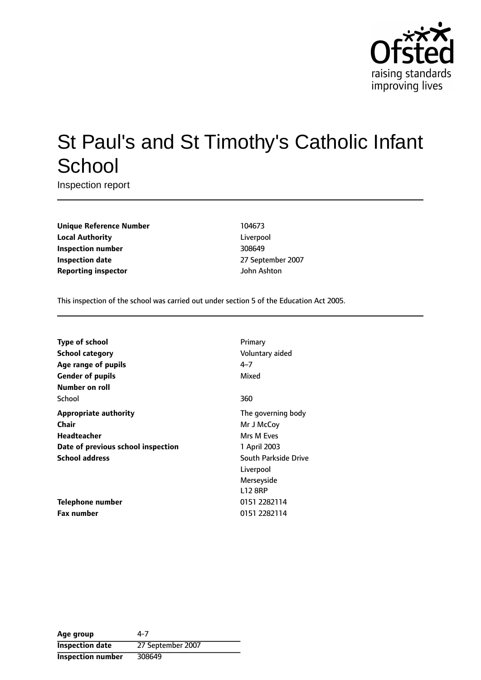

# St Paul's and St Timothy's Catholic Infant **School**

Inspection report

**Unique Reference Number** 104673 **Local Authority** Liverpool **Inspection number** 308649 **Inspection date** 27 September 2007 **Reporting inspector and a structure of the UP** density of John Ashton

This inspection of the school was carried out under section 5 of the Education Act 2005.

| <b>Type of school</b>              | Primary              |
|------------------------------------|----------------------|
| <b>School category</b>             | Voluntary aided      |
| Age range of pupils                | 4–7                  |
| <b>Gender of pupils</b>            | Mixed                |
| Number on roll                     |                      |
| School                             | 360                  |
| <b>Appropriate authority</b>       | The governing body   |
| Chair                              | Mr J McCoy           |
| <b>Headteacher</b>                 | Mrs M Eves           |
| Date of previous school inspection | 1 April 2003         |
| <b>School address</b>              | South Parkside Drive |
|                                    | Liverpool            |
|                                    | Merseyside           |
|                                    | <b>L12 8RP</b>       |
| Telephone number                   | 0151 2282114         |
| <b>Fax number</b>                  | 0151 2282114         |

**Age group** 4-7 **Inspection date** 27 September 2007 **Inspection number** 308649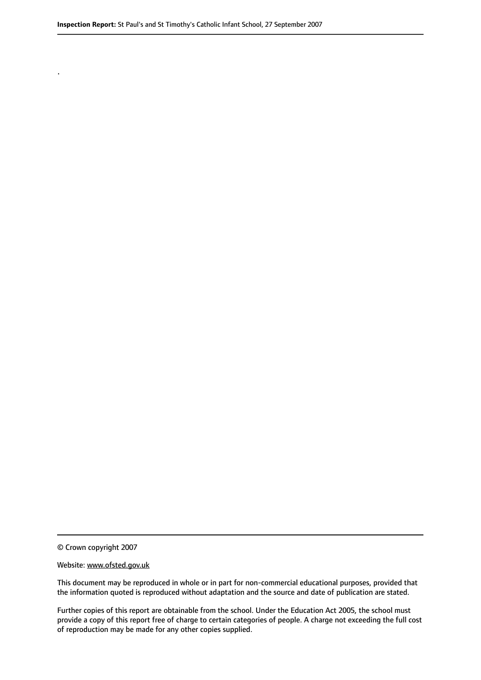© Crown copyright 2007

.

#### Website: www.ofsted.gov.uk

This document may be reproduced in whole or in part for non-commercial educational purposes, provided that the information quoted is reproduced without adaptation and the source and date of publication are stated.

Further copies of this report are obtainable from the school. Under the Education Act 2005, the school must provide a copy of this report free of charge to certain categories of people. A charge not exceeding the full cost of reproduction may be made for any other copies supplied.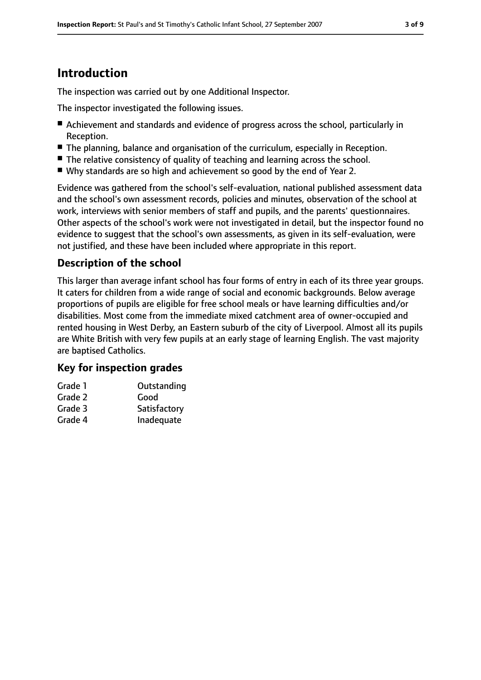# **Introduction**

The inspection was carried out by one Additional Inspector.

The inspector investigated the following issues.

- Achievement and standards and evidence of progress across the school, particularly in Reception.
- The planning, balance and organisation of the curriculum, especially in Reception.
- The relative consistency of quality of teaching and learning across the school.
- Why standards are so high and achievement so good by the end of Year 2.

Evidence was gathered from the school's self-evaluation, national published assessment data and the school's own assessment records, policies and minutes, observation of the school at work, interviews with senior members of staff and pupils, and the parents' questionnaires. Other aspects of the school's work were not investigated in detail, but the inspector found no evidence to suggest that the school's own assessments, as given in its self-evaluation, were not justified, and these have been included where appropriate in this report.

### **Description of the school**

This larger than average infant school has four forms of entry in each of its three year groups. It caters for children from a wide range of social and economic backgrounds. Below average proportions of pupils are eligible for free school meals or have learning difficulties and/or disabilities. Most come from the immediate mixed catchment area of owner-occupied and rented housing in West Derby, an Eastern suburb of the city of Liverpool. Almost all its pupils are White British with very few pupils at an early stage of learning English. The vast majority are baptised Catholics.

### **Key for inspection grades**

| Grade 1 | Outstanding  |
|---------|--------------|
| Grade 2 | Good         |
| Grade 3 | Satisfactory |
| Grade 4 | Inadequate   |
|         |              |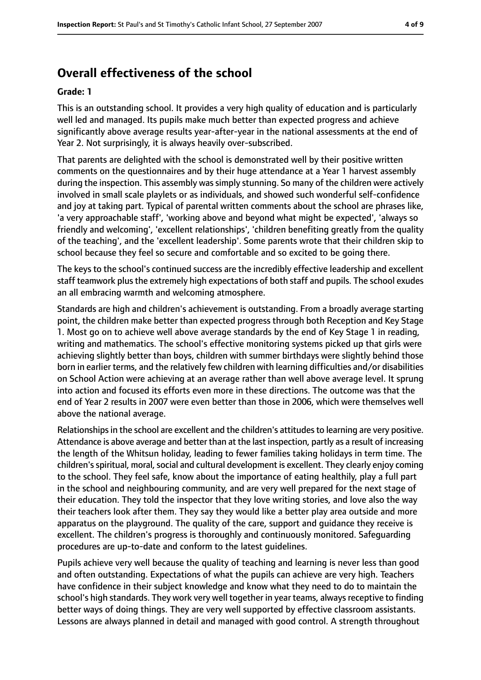# **Overall effectiveness of the school**

#### **Grade: 1**

This is an outstanding school. It provides a very high quality of education and is particularly well led and managed. Its pupils make much better than expected progress and achieve significantly above average results year-after-year in the national assessments at the end of Year 2. Not surprisingly, it is always heavily over-subscribed.

That parents are delighted with the school is demonstrated well by their positive written comments on the questionnaires and by their huge attendance at a Year 1 harvest assembly during the inspection. This assembly was simply stunning. So many of the children were actively involved in small scale playlets or as individuals, and showed such wonderful self-confidence and joy at taking part. Typical of parental written comments about the school are phrases like, 'a very approachable staff', 'working above and beyond what might be expected', 'always so friendly and welcoming', 'excellent relationships', 'children benefiting greatly from the quality of the teaching', and the 'excellent leadership'. Some parents wrote that their children skip to school because they feel so secure and comfortable and so excited to be going there.

The keys to the school's continued success are the incredibly effective leadership and excellent staff teamwork plus the extremely high expectations of both staff and pupils. The school exudes an all embracing warmth and welcoming atmosphere.

Standards are high and children's achievement is outstanding. From a broadly average starting point, the children make better than expected progress through both Reception and Key Stage 1. Most go on to achieve well above average standards by the end of Key Stage 1 in reading, writing and mathematics. The school's effective monitoring systems picked up that girls were achieving slightly better than boys, children with summer birthdays were slightly behind those born in earlier terms, and the relatively few children with learning difficulties and/or disabilities on School Action were achieving at an average rather than well above average level. It sprung into action and focused its efforts even more in these directions. The outcome was that the end of Year 2 results in 2007 were even better than those in 2006, which were themselves well above the national average.

Relationships in the school are excellent and the children's attitudes to learning are very positive. Attendance is above average and better than at the last inspection, partly as a result of increasing the length of the Whitsun holiday, leading to fewer families taking holidays in term time. The children's spiritual, moral, social and cultural development is excellent. They clearly enjoy coming to the school. They feel safe, know about the importance of eating healthily, play a full part in the school and neighbouring community, and are very well prepared for the next stage of their education. They told the inspector that they love writing stories, and love also the way their teachers look after them. They say they would like a better play area outside and more apparatus on the playground. The quality of the care, support and guidance they receive is excellent. The children's progress is thoroughly and continuously monitored. Safeguarding procedures are up-to-date and conform to the latest guidelines.

Pupils achieve very well because the quality of teaching and learning is never less than good and often outstanding. Expectations of what the pupils can achieve are very high. Teachers have confidence in their subject knowledge and know what they need to do to maintain the school's high standards. They work very well together in year teams, always receptive to finding better ways of doing things. They are very well supported by effective classroom assistants. Lessons are always planned in detail and managed with good control. A strength throughout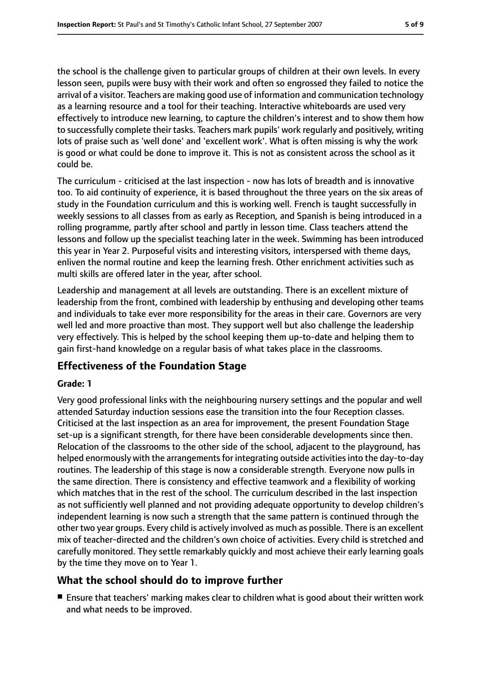the school is the challenge given to particular groups of children at their own levels. In every lesson seen, pupils were busy with their work and often so engrossed they failed to notice the arrival of a visitor. Teachers are making good use of information and communication technology as a learning resource and a tool for their teaching. Interactive whiteboards are used very effectively to introduce new learning, to capture the children's interest and to show them how to successfully complete their tasks. Teachers mark pupils' work regularly and positively, writing lots of praise such as 'well done' and 'excellent work'. What is often missing is why the work is good or what could be done to improve it. This is not as consistent across the school as it could be.

The curriculum - criticised at the last inspection - now has lots of breadth and is innovative too. To aid continuity of experience, it is based throughout the three years on the six areas of study in the Foundation curriculum and this is working well. French is taught successfully in weekly sessions to all classes from as early as Reception, and Spanish is being introduced in a rolling programme, partly after school and partly in lesson time. Class teachers attend the lessons and follow up the specialist teaching later in the week. Swimming has been introduced this year in Year 2. Purposeful visits and interesting visitors, interspersed with theme days, enliven the normal routine and keep the learning fresh. Other enrichment activities such as multi skills are offered later in the year, after school.

Leadership and management at all levels are outstanding. There is an excellent mixture of leadership from the front, combined with leadership by enthusing and developing other teams and individuals to take ever more responsibility for the areas in their care. Governors are very well led and more proactive than most. They support well but also challenge the leadership very effectively. This is helped by the school keeping them up-to-date and helping them to gain first-hand knowledge on a regular basis of what takes place in the classrooms.

### **Effectiveness of the Foundation Stage**

#### **Grade: 1**

Very good professional links with the neighbouring nursery settings and the popular and well attended Saturday induction sessions ease the transition into the four Reception classes. Criticised at the last inspection as an area for improvement, the present Foundation Stage set-up is a significant strength, for there have been considerable developments since then. Relocation of the classrooms to the other side of the school, adjacent to the playground, has helped enormously with the arrangements for integrating outside activities into the day-to-day routines. The leadership of this stage is now a considerable strength. Everyone now pulls in the same direction. There is consistency and effective teamwork and a flexibility of working which matches that in the rest of the school. The curriculum described in the last inspection as not sufficiently well planned and not providing adequate opportunity to develop children's independent learning is now such a strength that the same pattern is continued through the other two year groups. Every child is actively involved as much as possible. There is an excellent mix of teacher-directed and the children's own choice of activities. Every child is stretched and carefully monitored. They settle remarkably quickly and most achieve their early learning goals by the time they move on to Year 1.

### **What the school should do to improve further**

■ Ensure that teachers' marking makes clear to children what is good about their written work and what needs to be improved.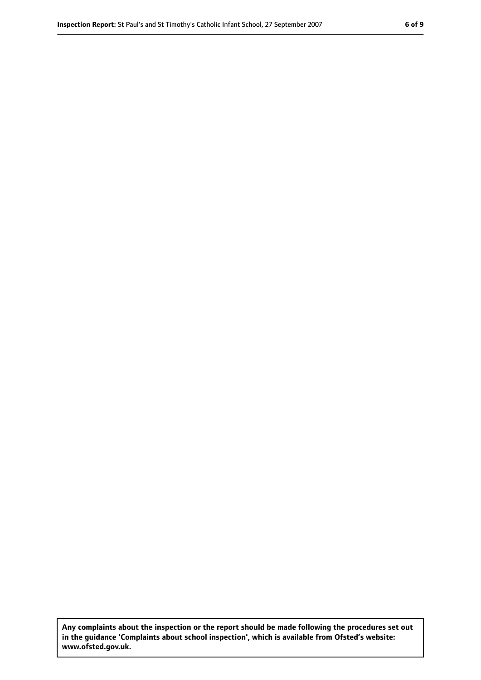**Any complaints about the inspection or the report should be made following the procedures set out in the guidance 'Complaints about school inspection', which is available from Ofsted's website: www.ofsted.gov.uk.**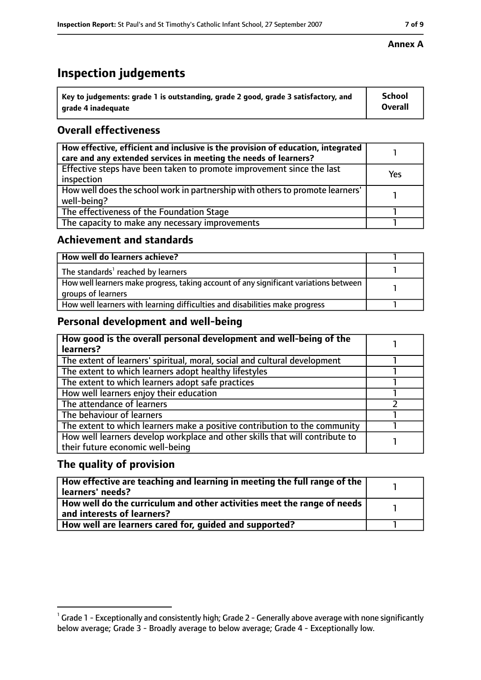# **Inspection judgements**

| $^{\backprime}$ Key to judgements: grade 1 is outstanding, grade 2 good, grade 3 satisfactory, and | <b>School</b>  |
|----------------------------------------------------------------------------------------------------|----------------|
| arade 4 inadequate                                                                                 | <b>Overall</b> |

### **Overall effectiveness**

| How effective, efficient and inclusive is the provision of education, integrated<br>care and any extended services in meeting the needs of learners? |     |
|------------------------------------------------------------------------------------------------------------------------------------------------------|-----|
| Effective steps have been taken to promote improvement since the last<br>inspection                                                                  | Yes |
| How well does the school work in partnership with others to promote learners'<br>well-being?                                                         |     |
| The effectiveness of the Foundation Stage                                                                                                            |     |
| The capacity to make any necessary improvements                                                                                                      |     |

### **Achievement and standards**

| How well do learners achieve?                                                                               |  |
|-------------------------------------------------------------------------------------------------------------|--|
| The standards <sup>1</sup> reached by learners                                                              |  |
| How well learners make progress, taking account of any significant variations between<br>groups of learners |  |
| How well learners with learning difficulties and disabilities make progress                                 |  |

### **Personal development and well-being**

| How good is the overall personal development and well-being of the<br>learners?                                  |  |
|------------------------------------------------------------------------------------------------------------------|--|
| The extent of learners' spiritual, moral, social and cultural development                                        |  |
| The extent to which learners adopt healthy lifestyles                                                            |  |
| The extent to which learners adopt safe practices                                                                |  |
| How well learners enjoy their education                                                                          |  |
| The attendance of learners                                                                                       |  |
| The behaviour of learners                                                                                        |  |
| The extent to which learners make a positive contribution to the community                                       |  |
| How well learners develop workplace and other skills that will contribute to<br>their future economic well-being |  |

### **The quality of provision**

| How effective are teaching and learning in meeting the full range of the<br>learners' needs?          |  |
|-------------------------------------------------------------------------------------------------------|--|
| How well do the curriculum and other activities meet the range of needs<br>and interests of learners? |  |
| How well are learners cared for, quided and supported?                                                |  |

### **Annex A**

 $^1$  Grade 1 - Exceptionally and consistently high; Grade 2 - Generally above average with none significantly below average; Grade 3 - Broadly average to below average; Grade 4 - Exceptionally low.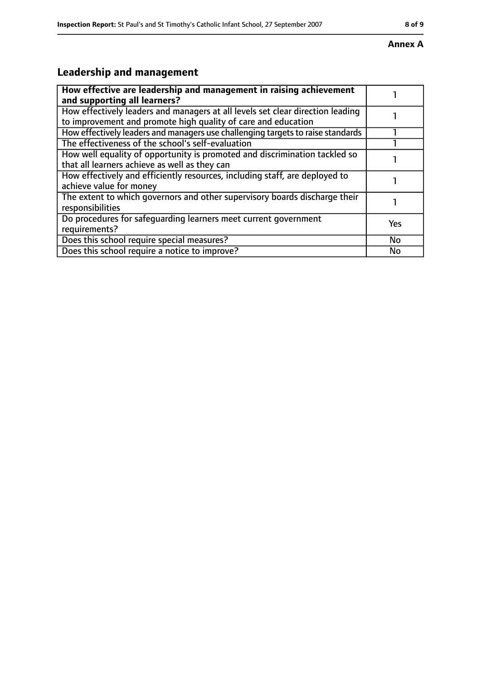#### **Annex A**

# **Leadership and management**

| How effective are leadership and management in raising achievement<br>and supporting all learners?                                              |     |
|-------------------------------------------------------------------------------------------------------------------------------------------------|-----|
| How effectively leaders and managers at all levels set clear direction leading<br>to improvement and promote high quality of care and education |     |
| How effectively leaders and managers use challenging targets to raise standards                                                                 |     |
| The effectiveness of the school's self-evaluation                                                                                               |     |
| How well equality of opportunity is promoted and discrimination tackled so<br>that all learners achieve as well as they can                     |     |
| How effectively and efficiently resources, including staff, are deployed to<br>achieve value for money                                          |     |
| The extent to which governors and other supervisory boards discharge their<br>responsibilities                                                  |     |
| Do procedures for safequarding learners meet current government<br>requirements?                                                                | Yes |
| Does this school require special measures?                                                                                                      | No  |
| Does this school require a notice to improve?                                                                                                   | No  |